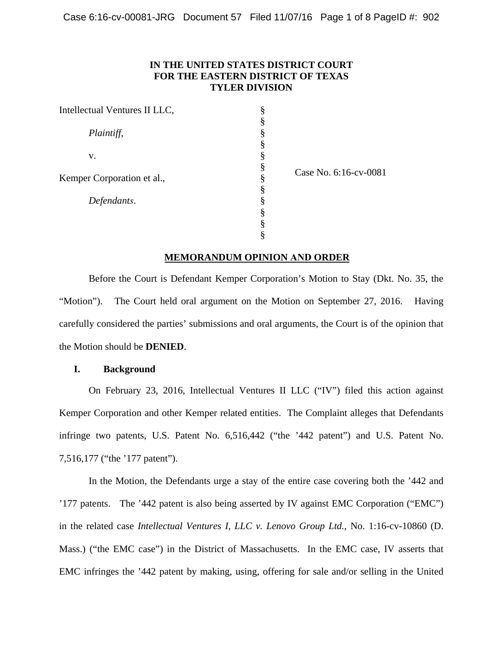# **IN THE UNITED STATES DISTRICT COURT FOR THE EASTERN DISTRICT OF TEXAS TYLER DIVISION**

| Intellectual Ventures II LLC, | § |
|-------------------------------|---|
|                               | § |
| Plaintiff,                    | § |
|                               | § |
| V.                            | § |
|                               | § |
| Kemper Corporation et al.,    | § |
|                               | § |
| Defendants.                   | § |
|                               | § |
|                               | § |
|                               | § |

Case No. 6:16-cv-0081

## **MEMORANDUM OPINION AND ORDER**

Before the Court is Defendant Kemper Corporation's Motion to Stay (Dkt. No. 35, the "Motion"). The Court held oral argument on the Motion on September 27, 2016. Having carefully considered the parties' submissions and oral arguments, the Court is of the opinion that the Motion should be **DENIED**.

#### **I. Background**

On February 23, 2016, Intellectual Ventures II LLC ("IV") filed this action against Kemper Corporation and other Kemper related entities. The Complaint alleges that Defendants infringe two patents, U.S. Patent No. 6,516,442 ("the '442 patent") and U.S. Patent No. 7,516,177 ("the '177 patent").

In the Motion, the Defendants urge a stay of the entire case covering both the '442 and '177 patents. The '442 patent is also being asserted by IV against EMC Corporation ("EMC") in the related case *Intellectual Ventures I, LLC v. Lenovo Group Ltd.*, No. 1:16-cv-10860 (D. Mass.) ("the EMC case") in the District of Massachusetts. In the EMC case, IV asserts that EMC infringes the '442 patent by making, using, offering for sale and/or selling in the United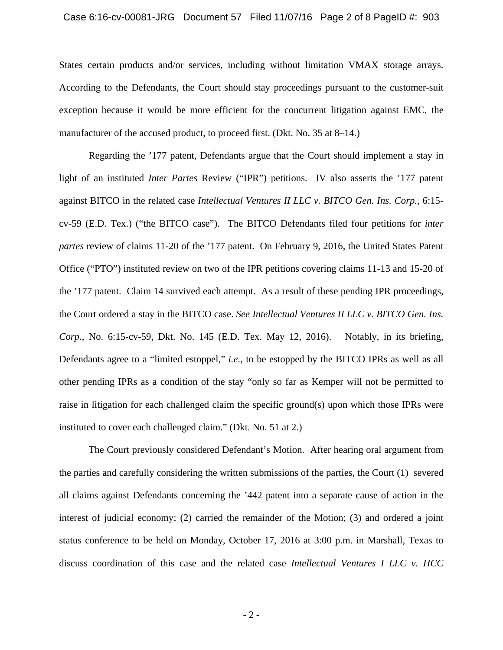States certain products and/or services, including without limitation VMAX storage arrays. According to the Defendants, the Court should stay proceedings pursuant to the customer-suit exception because it would be more efficient for the concurrent litigation against EMC, the manufacturer of the accused product, to proceed first. (Dkt. No. 35 at 8–14.)

Regarding the '177 patent, Defendants argue that the Court should implement a stay in light of an instituted *Inter Partes* Review ("IPR") petitions. IV also asserts the '177 patent against BITCO in the related case *Intellectual Ventures II LLC v. BITCO Gen. Ins. Corp.*, 6:15 cv-59 (E.D. Tex.) ("the BITCO case"). The BITCO Defendants filed four petitions for *inter partes* review of claims 11-20 of the '177 patent. On February 9, 2016, the United States Patent Office ("PTO") instituted review on two of the IPR petitions covering claims 11-13 and 15-20 of the '177 patent. Claim 14 survived each attempt. As a result of these pending IPR proceedings, the Court ordered a stay in the BITCO case. *See Intellectual Ventures II LLC v. BITCO Gen. Ins. Corp.*, No. 6:15-cv-59, Dkt. No. 145 (E.D. Tex. May 12, 2016). Notably, in its briefing, Defendants agree to a "limited estoppel," *i.e.*, to be estopped by the BITCO IPRs as well as all other pending IPRs as a condition of the stay "only so far as Kemper will not be permitted to raise in litigation for each challenged claim the specific ground(s) upon which those IPRs were instituted to cover each challenged claim." (Dkt. No. 51 at 2.)

The Court previously considered Defendant's Motion. After hearing oral argument from the parties and carefully considering the written submissions of the parties, the Court (1) severed all claims against Defendants concerning the '442 patent into a separate cause of action in the interest of judicial economy; (2) carried the remainder of the Motion; (3) and ordered a joint status conference to be held on Monday, October 17, 2016 at 3:00 p.m. in Marshall, Texas to discuss coordination of this case and the related case *Intellectual Ventures I LLC v. HCC*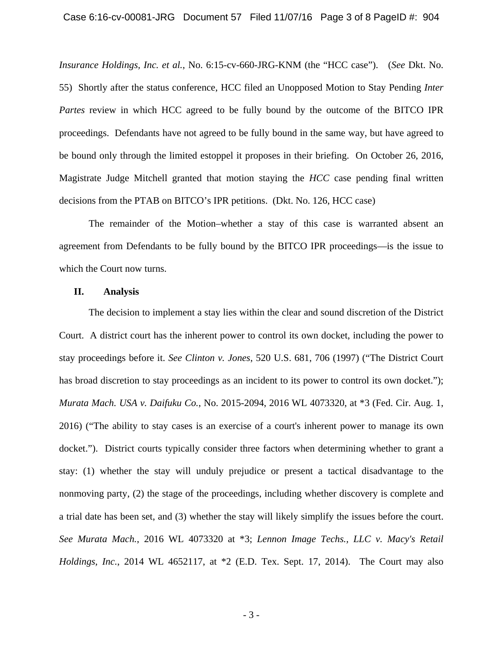*Insurance Holdings, Inc. et al.*, No. 6:15-cv-660-JRG-KNM (the "HCC case"). (*See* Dkt. No. 55) Shortly after the status conference, HCC filed an Unopposed Motion to Stay Pending *Inter Partes* review in which HCC agreed to be fully bound by the outcome of the BITCO IPR proceedings. Defendants have not agreed to be fully bound in the same way, but have agreed to be bound only through the limited estoppel it proposes in their briefing. On October 26, 2016, Magistrate Judge Mitchell granted that motion staying the *HCC* case pending final written decisions from the PTAB on BITCO's IPR petitions. (Dkt. No. 126, HCC case)

The remainder of the Motion–whether a stay of this case is warranted absent an agreement from Defendants to be fully bound by the BITCO IPR proceedings—is the issue to which the Court now turns.

#### **II. Analysis**

The decision to implement a stay lies within the clear and sound discretion of the District Court. A district court has the inherent power to control its own docket, including the power to stay proceedings before it. *See Clinton v. Jones*, 520 U.S. 681, 706 (1997) ("The District Court has broad discretion to stay proceedings as an incident to its power to control its own docket."); *Murata Mach. USA v. Daifuku Co.*, No. 2015-2094, 2016 WL 4073320, at \*3 (Fed. Cir. Aug. 1, 2016) ("The ability to stay cases is an exercise of a court's inherent power to manage its own docket."). District courts typically consider three factors when determining whether to grant a stay: (1) whether the stay will unduly prejudice or present a tactical disadvantage to the nonmoving party, (2) the stage of the proceedings, including whether discovery is complete and a trial date has been set, and (3) whether the stay will likely simplify the issues before the court. *See Murata Mach.*, 2016 WL 4073320 at \*3; *Lennon Image Techs., LLC v. Macy's Retail Holdings, Inc.*, 2014 WL 4652117, at \*2 (E.D. Tex. Sept. 17, 2014). The Court may also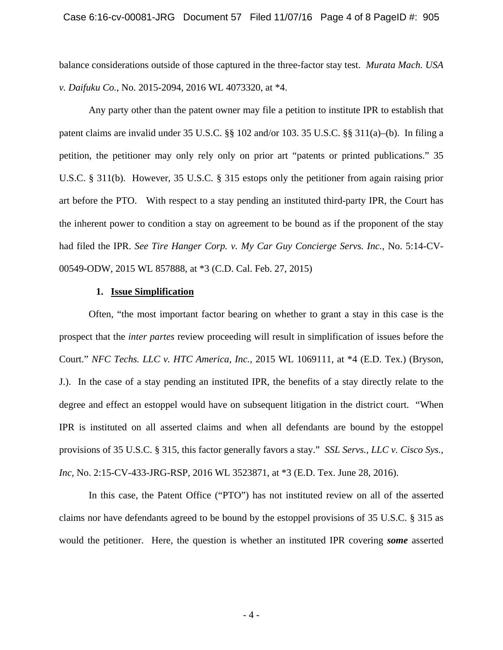balance considerations outside of those captured in the three-factor stay test. *Murata Mach. USA v. Daifuku Co.*, No. 2015-2094, 2016 WL 4073320, at \*4.

Any party other than the patent owner may file a petition to institute IPR to establish that patent claims are invalid under 35 U.S.C. §§ 102 and/or 103. 35 U.S.C. §§ 311(a)–(b). In filing a petition, the petitioner may only rely only on prior art "patents or printed publications." 35 U.S.C. § 311(b). However, 35 U.S.C. § 315 estops only the petitioner from again raising prior art before the PTO. With respect to a stay pending an instituted third-party IPR, the Court has the inherent power to condition a stay on agreement to be bound as if the proponent of the stay had filed the IPR. *See Tire Hanger Corp. v. My Car Guy Concierge Servs. Inc.*, No. 5:14-CV-00549-ODW, 2015 WL 857888, at \*3 (C.D. Cal. Feb. 27, 2015)

#### **1. Issue Simplification**

Often, "the most important factor bearing on whether to grant a stay in this case is the prospect that the *inter partes* review proceeding will result in simplification of issues before the Court." *NFC Techs. LLC v. HTC America, Inc.*, 2015 WL 1069111, at \*4 (E.D. Tex.) (Bryson, J.). In the case of a stay pending an instituted IPR, the benefits of a stay directly relate to the degree and effect an estoppel would have on subsequent litigation in the district court. "When IPR is instituted on all asserted claims and when all defendants are bound by the estoppel provisions of 35 U.S.C. § 315, this factor generally favors a stay." *SSL Servs., LLC v. Cisco Sys., Inc,* No. 2:15-CV-433-JRG-RSP, 2016 WL 3523871, at \*3 (E.D. Tex. June 28, 2016).

In this case, the Patent Office ("PTO") has not instituted review on all of the asserted claims nor have defendants agreed to be bound by the estoppel provisions of 35 U.S.C. § 315 as would the petitioner. Here, the question is whether an instituted IPR covering *some* asserted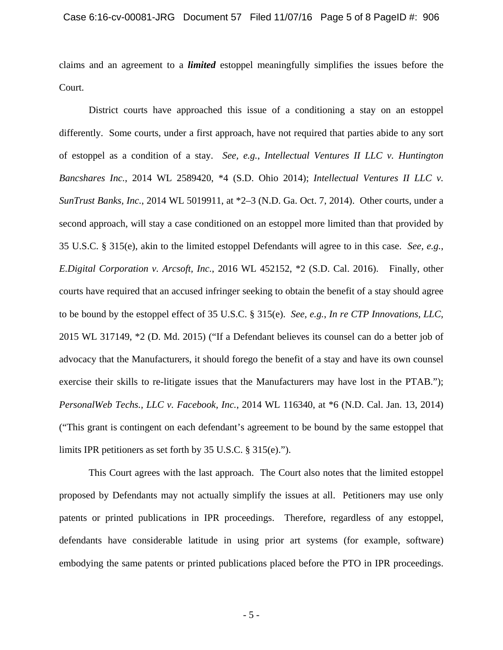claims and an agreement to a *limited* estoppel meaningfully simplifies the issues before the Court.

District courts have approached this issue of a conditioning a stay on an estoppel differently. Some courts, under a first approach, have not required that parties abide to any sort of estoppel as a condition of a stay. *See, e.g.*, *Intellectual Ventures II LLC v. Huntington Bancshares Inc.*, 2014 WL 2589420, \*4 (S.D. Ohio 2014); *Intellectual Ventures II LLC v. SunTrust Banks, Inc.*, 2014 WL 5019911, at \*2–3 (N.D. Ga. Oct. 7, 2014). Other courts, under a second approach, will stay a case conditioned on an estoppel more limited than that provided by 35 U.S.C. § 315(e), akin to the limited estoppel Defendants will agree to in this case. *See, e.g.*, *E.Digital Corporation v. Arcsoft, Inc.*, 2016 WL 452152, \*2 (S.D. Cal. 2016). Finally, other courts have required that an accused infringer seeking to obtain the benefit of a stay should agree to be bound by the estoppel effect of 35 U.S.C. § 315(e). *See, e.g.*, *In re CTP Innovations, LLC,* 2015 WL 317149, \*2 (D. Md. 2015) ("If a Defendant believes its counsel can do a better job of advocacy that the Manufacturers, it should forego the benefit of a stay and have its own counsel exercise their skills to re-litigate issues that the Manufacturers may have lost in the PTAB."); *PersonalWeb Techs., LLC v. Facebook, Inc.*, 2014 WL 116340, at \*6 (N.D. Cal. Jan. 13, 2014) ("This grant is contingent on each defendant's agreement to be bound by the same estoppel that limits IPR petitioners as set forth by 35 U.S.C. § 315(e).").

This Court agrees with the last approach. The Court also notes that the limited estoppel proposed by Defendants may not actually simplify the issues at all. Petitioners may use only patents or printed publications in IPR proceedings. Therefore, regardless of any estoppel, defendants have considerable latitude in using prior art systems (for example, software) embodying the same patents or printed publications placed before the PTO in IPR proceedings.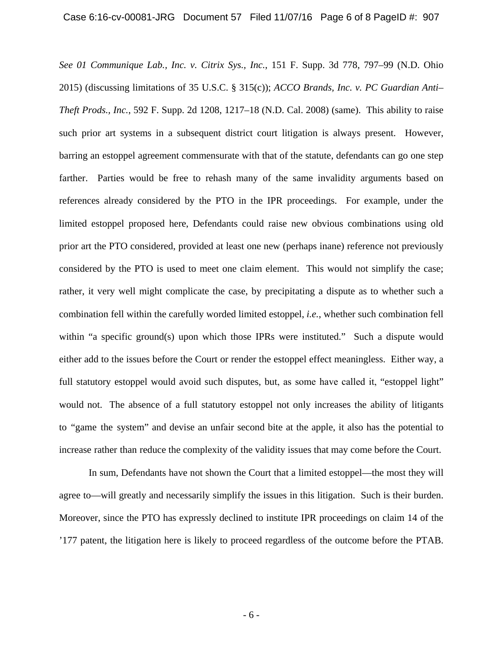*See 01 Communique Lab., Inc. v. Citrix Sys., Inc.*, 151 F. Supp. 3d 778, 797–99 (N.D. Ohio 2015) (discussing limitations of 35 U.S.C. § 315(c)); *ACCO Brands, Inc. v. PC Guardian Anti– Theft Prods., Inc.*, 592 F. Supp. 2d 1208, 1217–18 (N.D. Cal. 2008) (same).This ability to raise such prior art systems in a subsequent district court litigation is always present. However, barring an estoppel agreement commensurate with that of the statute, defendants can go one step farther. Parties would be free to rehash many of the same invalidity arguments based on references already considered by the PTO in the IPR proceedings. For example, under the limited estoppel proposed here, Defendants could raise new obvious combinations using old prior art the PTO considered, provided at least one new (perhaps inane) reference not previously considered by the PTO is used to meet one claim element. This would not simplify the case; rather, it very well might complicate the case, by precipitating a dispute as to whether such a combination fell within the carefully worded limited estoppel, *i.e.*, whether such combination fell within "a specific ground(s) upon which those IPRs were instituted." Such a dispute would either add to the issues before the Court or render the estoppel effect meaningless. Either way, a full statutory estoppel would avoid such disputes, but, as some have called it, "estoppel light" would not. The absence of a full statutory estoppel not only increases the ability of litigants to "game the system" and devise an unfair second bite at the apple, it also has the potential to increase rather than reduce the complexity of the validity issues that may come before the Court.

In sum, Defendants have not shown the Court that a limited estoppel—the most they will agree to—will greatly and necessarily simplify the issues in this litigation. Such is their burden. Moreover, since the PTO has expressly declined to institute IPR proceedings on claim 14 of the '177 patent, the litigation here is likely to proceed regardless of the outcome before the PTAB.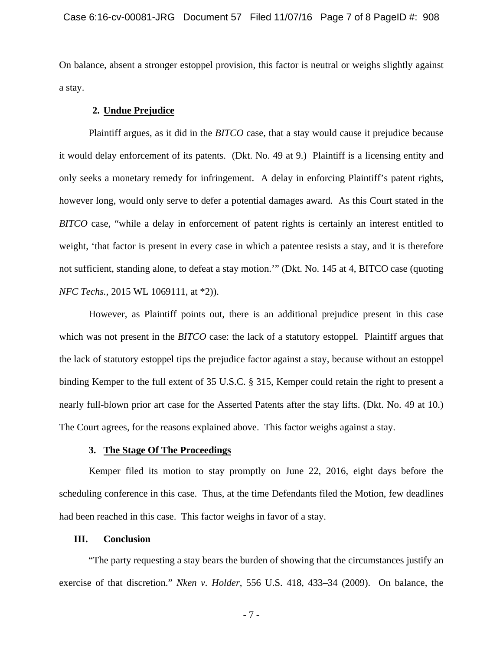On balance, absent a stronger estoppel provision, this factor is neutral or weighs slightly against a stay.

## **2. Undue Prejudice**

Plaintiff argues, as it did in the *BITCO* case, that a stay would cause it prejudice because it would delay enforcement of its patents. (Dkt. No. 49 at 9.) Plaintiff is a licensing entity and only seeks a monetary remedy for infringement. A delay in enforcing Plaintiff's patent rights, however long, would only serve to defer a potential damages award. As this Court stated in the *BITCO* case, "while a delay in enforcement of patent rights is certainly an interest entitled to weight, 'that factor is present in every case in which a patentee resists a stay, and it is therefore not sufficient, standing alone, to defeat a stay motion.'" (Dkt. No. 145 at 4, BITCO case (quoting *NFC Techs.*, 2015 WL 1069111, at \*2)).

However, as Plaintiff points out, there is an additional prejudice present in this case which was not present in the *BITCO* case: the lack of a statutory estoppel. Plaintiff argues that the lack of statutory estoppel tips the prejudice factor against a stay, because without an estoppel binding Kemper to the full extent of 35 U.S.C. § 315, Kemper could retain the right to present a nearly full-blown prior art case for the Asserted Patents after the stay lifts. (Dkt. No. 49 at 10.) The Court agrees, for the reasons explained above. This factor weighs against a stay.

## **3. The Stage Of The Proceedings**

Kemper filed its motion to stay promptly on June 22, 2016, eight days before the scheduling conference in this case. Thus, at the time Defendants filed the Motion, few deadlines had been reached in this case. This factor weighs in favor of a stay.

## **III. Conclusion**

"The party requesting a stay bears the burden of showing that the circumstances justify an exercise of that discretion." *Nken v. Holder*, 556 U.S. 418, 433–34 (2009). On balance, the